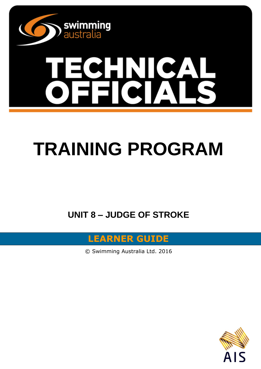

# **TRAINING PROGRAM**

**UNIT 8 – JUDGE OF STROKE**

**LEARNER GUIDE**

© Swimming Australia Ltd. 2016

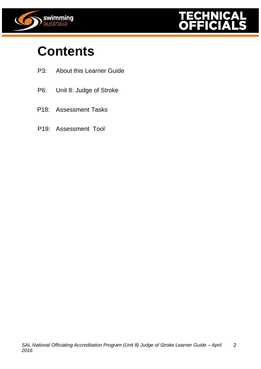



# **Contents**

- P3: About this Learner Guide
- P6: Unit 8: Judge of Stroke
- P18: Assessment Tasks
- P19: Assessment Tool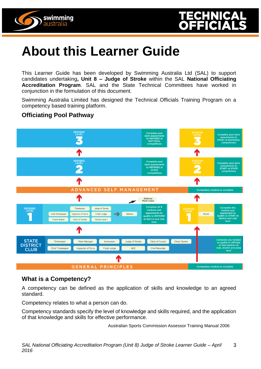



# **About this Learner Guide**

This Learner Guide has been developed by Swimming Australia Ltd (SAL) to support candidates undertaking**, Unit 8 – Judge of Stroke** within the SAL **National Officiating Accreditation Program**. SAL and the State Technical Committees have worked in conjunction in the formulation of this document.

Swimming Australia Limited has designed the Technical Officials Training Program on a competency based training platform.

# **Officiating Pool Pathway**



# **What is a Competency?**

A competency can be defined as the application of skills and knowledge to an agreed standard.

Competency relates to what a person can do.

Competency standards specify the level of knowledge and skills required, and the application of that knowledge and skills for effective performance.

Australian Sports Commission Assessor Training Manual 2006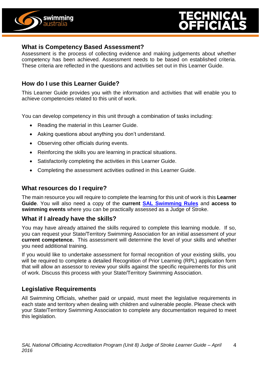



#### **What is Competency Based Assessment?**

Assessment is the process of collecting evidence and making judgements about whether competency has been achieved. Assessment needs to be based on established criteria. These criteria are reflected in the questions and activities set out in this Learner Guide.

# **How do I use this Learner Guide?**

This Learner Guide provides you with the information and activities that will enable you to achieve competencies related to this unit of work.

You can develop competency in this unit through a combination of tasks including:

- Reading the material in this Learner Guide.
- Asking questions about anything you don't understand.
- Observing other officials during events.
- Reinforcing the skills you are learning in practical situations.
- Satisfactorily completing the activities in this Learner Guide.
- Completing the assessment activities outlined in this Learner Guide.

# **What resources do I require?**

The main resource you will require to complete the learning for this unit of work is this **Learner Guide**. You will also need a copy of the **current [SAL Swimming Rules](http://www.swimming.org.au/visageimages/1_SAL/Rules/SAL%20Swimming%20Rules%20%20JAN%202014%20updated%2005.02.15.pdf)** and **access to swimming events** where you can be practically assessed as a Judge of Stroke.

# **What if I already have the skills?**

You may have already attained the skills required to complete this learning module. If so, you can request your State/Territory Swimming Association for an initial assessment of your **current competence.** This assessment will determine the level of your skills and whether you need additional training.

If you would like to undertake assessment for formal recognition of your existing skills, you will be required to complete a detailed Recognition of Prior Learning (RPL) application form that will allow an assessor to review your skills against the specific requirements for this unit of work. Discuss this process with your State/Territory Swimming Association.

# **Legislative Requirements**

All Swimming Officials, whether paid or unpaid, must meet the legislative requirements in each state and territory when dealing with children and vulnerable people. Please check with your State/Territory Swimming Association to complete any documentation required to meet this legislation.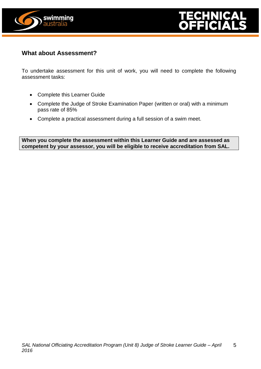



# **What about Assessment?**

To undertake assessment for this unit of work, you will need to complete the following assessment tasks:

- Complete this Learner Guide
- Complete the Judge of Stroke Examination Paper (written or oral) with a minimum pass rate of 85%
- Complete a practical assessment during a full session of a swim meet.

**When you complete the assessment within this Learner Guide and are assessed as competent by your assessor, you will be eligible to receive accreditation from SAL.**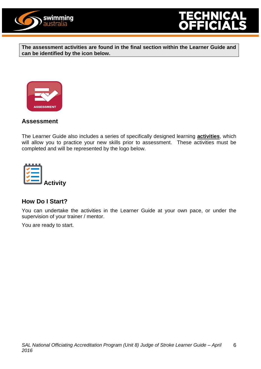



**The assessment activities are found in the final section within the Learner Guide and can be identified by the icon below.**



# **Assessment**

The Learner Guide also includes a series of specifically designed learning **activities**, which will allow you to practice your new skills prior to assessment. These activities must be completed and will be represented by the logo below.



# **How Do I Start?**

You can undertake the activities in the Learner Guide at your own pace, or under the supervision of your trainer / mentor.

You are ready to start.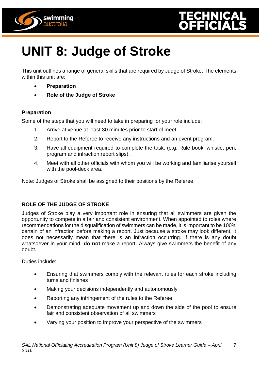



# **UNIT 8: Judge of Stroke**

This unit outlines a range of general skills that are required by Judge of Stroke. The elements within this unit are:

- **Preparation**
- **Role of the Judge of Stroke**

#### **Preparation**

Some of the steps that you will need to take in preparing for your role include:

- 1. Arrive at venue at least 30 minutes prior to start of meet.
- 2. Report to the Referee to receive any instructions and an event program.
- 3. Have all equipment required to complete the task: (e.g. Rule book, whistle, pen, program and infraction report slips).
- 4. Meet with all other officials with whom you will be working and familiarise yourself with the pool-deck area.

Note: Judges of Stroke shall be assigned to their positions by the Referee,

# **ROLE OF THE JUDGE OF STROKE**

Judges of Stroke play a very important role in ensuring that all swimmers are given the opportunity to compete in a fair and consistent environment. When appointed to roles where recommendations for the disqualification of swimmers can be made, it is important to be 100% certain of an infraction before making a report. Just because a stroke may look different, it does not necessarily mean that there is an infraction occurring. If there is any doubt whatsoever in your mind, **do not** make a report. Always give swimmers the benefit of any doubt.

Duties include:

- Ensuring that swimmers comply with the relevant rules for each stroke including turns and finishes
- Making your decisions independently and autonomously
- Reporting any infringement of the rules to the Referee
- Demonstrating adequate movement up and down the side of the pool to ensure fair and consistent observation of all swimmers
- Varying your position to improve your perspective of the swimmers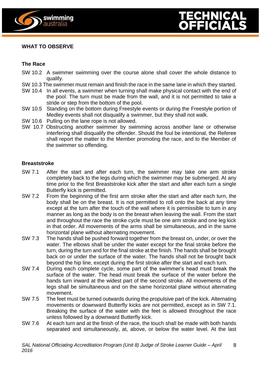



#### **WHAT TO OBSERVE**

#### **The Race**

- SW 10.2 A swimmer swimming over the course alone shall cover the whole distance to qualify.
- SW 10.3 The swimmer must remain and finish the race in the same lane in which they started.
- SW 10.4 In all events, a swimmer when turning shall make physical contact with the end of the pool. The turn must be made from the wall, and it is not permitted to take a stride or step from the bottom of the pool.
- SW 10.5 Standing on the bottom during Freestyle events or during the Freestyle portion of Medley events shall not disqualify a swimmer, but they shall not walk.
- SW 10.6 Pulling on the lane rope is not allowed.
- SW 10.7 Obstructing another swimmer by swimming across another lane or otherwise interfering shall disqualify the offender. Should the foul be intentional, the Referee shall report the matter to the Member promoting the race, and to the Member of the swimmer so offending.

#### **Breaststroke**

- SW 7.1 After the start and after each turn, the swimmer may take one arm stroke completely back to the legs during which the swimmer may be submerged. At any time prior to the first Breaststroke kick after the start and after each turn a single Butterfly kick is permitted.
- SW 7.2 From the beginning of the first arm stroke after the start and after each turn, the body shall be on the breast. It is not permitted to roll onto the back at any time except at the turn after the touch of the wall where it is permissible to turn in any manner as long as the body is on the breast when leaving the wall. From the start and throughout the race the stroke cycle must be one arm stroke and one leg kick in that order. All movements of the arms shall be simultaneous, and in the same horizontal plane without alternating movement.
- SW 7.3 The hands shall be pushed forward together from the breast on, under, or over the water. The elbows shall be under the water except for the final stroke before the turn, during the turn and for the final stroke at the finish. The hands shall be brought back on or under the surface of the water. The hands shall not be brought back beyond the hip line, except during the first stroke after the start and each turn.
- SW 7.4 During each complete cycle, some part of the swimmer's head must break the surface of the water. The head must break the surface of the water before the hands turn inward at the widest part of the second stroke. All movements of the legs shall be simultaneous and on the same horizontal plane without alternating movement.
- SW 7.5 The feet must be turned outwards during the propulsive part of the kick. Alternating movements or downward Butterfly kicks are not permitted, except as in SW 7.1. Breaking the surface of the water with the feet is allowed throughout the race unless followed by a downward Butterfly kick.
- SW 7.6 At each turn and at the finish of the race, the touch shall be made with both hands separated and simultaneously, at, above, or below the water level. At the last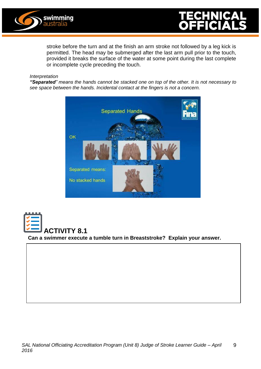



stroke before the turn and at the finish an arm stroke not followed by a leg kick is permitted. The head may be submerged after the last arm pull prior to the touch, provided it breaks the surface of the water at some point during the last complete or incomplete cycle preceding the touch.

#### *Interpretation*

*"Separated" means the hands cannot be stacked one on top of the other. It is not necessary to see space between the hands. Incidental contact at the fingers is not a concern.*



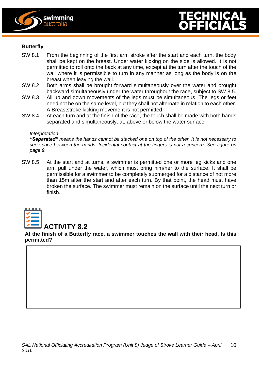



#### **Butterfly**

- SW 8.1 From the beginning of the first arm stroke after the start and each turn, the body shall be kept on the breast. Under water kicking on the side is allowed. It is not permitted to roll onto the back at any time, except at the turn after the touch of the wall where it is permissible to turn in any manner as long as the body is on the breast when leaving the wall.
- SW 8.2 Both arms shall be brought forward simultaneously over the water and brought backward simultaneously under the water throughout the race, subject to SW 8.5.
- SW 8.3 All up and down movements of the legs must be simultaneous. The legs or feet need not be on the same level, but they shall not alternate in relation to each other. A Breaststroke kicking movement is not permitted.
- SW 8.4 At each turn and at the finish of the race, the touch shall be made with both hands separated and simultaneously, at, above or below the water surface.

#### *Interpretation*

*"Separated" means the hands cannot be stacked one on top of the other. It is not necessary to see space between the hands. Incidental contact at the fingers is not a concern. See figure on page 9.*

SW 8.5 At the start and at turns, a swimmer is permitted one or more leg kicks and one arm pull under the water, which must bring him/her to the surface. It shall be permissible for a swimmer to be completely submerged for a distance of not more than 15m after the start and after each turn. By that point, the head must have broken the surface. The swimmer must remain on the surface until the next turn or finish.



#### **At the finish of a Butterfly race, a swimmer touches the wall with their head. Is this permitted?**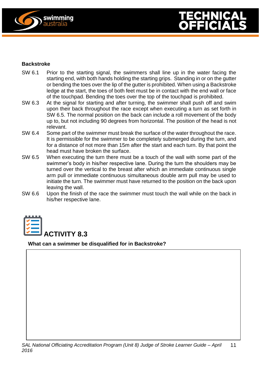



#### **Backstroke**

- SW 6.1 Prior to the starting signal, the swimmers shall line up in the water facing the starting end, with both hands holding the starting grips. Standing in or on the gutter or bending the toes over the lip of the gutter is prohibited. When using a Backstroke ledge at the start, the toes of both feet must be in contact with the end wall or face of the touchpad. Bending the toes over the top of the touchpad is prohibited.
- SW 6.3 At the signal for starting and after turning, the swimmer shall push off and swim upon their back throughout the race except when executing a turn as set forth in SW 6.5. The normal position on the back can include a roll movement of the body up to, but not including 90 degrees from horizontal. The position of the head is not relevant.
- SW 6.4 Some part of the swimmer must break the surface of the water throughout the race. It is permissible for the swimmer to be completely submerged during the turn, and for a distance of not more than 15m after the start and each turn. By that point the head must have broken the surface.
- SW 6.5 When executing the turn there must be a touch of the wall with some part of the swimmer's body in his/her respective lane. During the turn the shoulders may be turned over the vertical to the breast after which an immediate continuous single arm pull or immediate continuous simultaneous double arm pull may be used to initiate the turn. The swimmer must have returned to the position on the back upon leaving the wall.
- SW 6.6 Upon the finish of the race the swimmer must touch the wall while on the back in his/her respective lane.



**What can a swimmer be disqualified for in Backstroke?**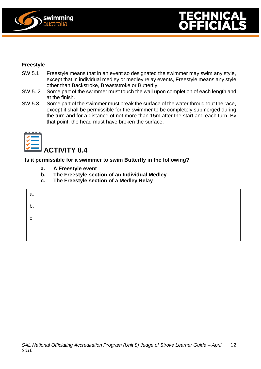



#### **Freestyle**

- SW 5.1 Freestyle means that in an event so designated the swimmer may swim any style, except that in individual medley or medley relay events, Freestyle means any style other than Backstroke, Breaststroke or Butterfly.
- SW 5. 2 Some part of the swimmer must touch the wall upon completion of each length and at the finish.
- SW 5.3 Some part of the swimmer must break the surface of the water throughout the race, except it shall be permissible for the swimmer to be completely submerged during the turn and for a distance of not more than 15m after the start and each turn. By that point, the head must have broken the surface.



**Is it permissible for a swimmer to swim Butterfly in the following?**

- **a. A Freestyle event**
- **b. The Freestyle section of an Individual Medley**
- **c. The Freestyle section of a Medley Relay**

| а. |  |  |  |
|----|--|--|--|
| b. |  |  |  |
| C. |  |  |  |
|    |  |  |  |
|    |  |  |  |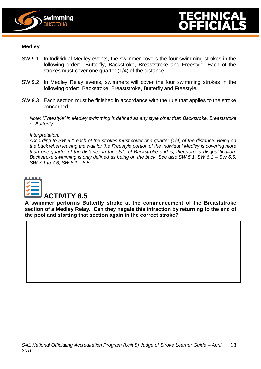



#### **Medley**

- SW 9.1 In Individual Medley events, the swimmer covers the four swimming strokes in the following order: Butterfly, Backstroke, Breaststroke and Freestyle. Each of the strokes must cover one quarter (1/4) of the distance.
- SW 9.2 In Medley Relay events, swimmers will cover the four swimming strokes in the following order: Backstroke, Breaststroke, Butterfly and Freestyle.
- SW 9.3 Each section must be finished in accordance with the rule that applies to the stroke concerned.

*Note: "Freestyle" in Medley swimming is defined as any style other than Backstroke, Breaststroke or Butterfly.*

#### *Interpretation:*

*According to SW 9.1 each of the strokes must cover one quarter (1/4) of the distance. Being on the back when leaving the wall for the Freestyle portion of the Individual Medley is covering more than one quarter of the distance in the style of Backstroke and is, therefore, a disqualification. Backstroke swimming is only defined as being on the back. See also SW 5.1, SW 6.1 – SW 6.5, SW 7.1 to 7.6, SW 8.1 – 8.5*



**A swimmer performs Butterfly stroke at the commencement of the Breaststroke section of a Medley Relay. Can they negate this infraction by returning to the end of the pool and starting that section again in the correct stroke?**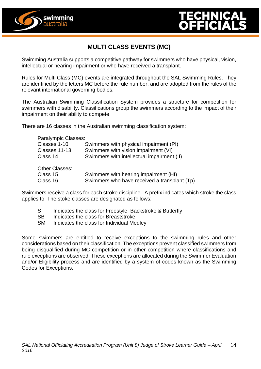



# **MULTI CLASS EVENTS (MC)**

Swimming Australia supports a competitive pathway for swimmers who have physical, vision, intellectual or hearing impairment or who have received a transplant.

Rules for Multi Class (MC) events are integrated throughout the SAL Swimming Rules. They are identified by the letters MC before the rule number, and are adopted from the rules of the relevant international governing bodies.

The Australian Swimming Classification System provides a structure for competition for swimmers with disability. Classifications group the swimmers according to the impact of their impairment on their ability to compete.

There are 16 classes in the Australian swimming classification system:

| Paralympic Classes: |                                              |
|---------------------|----------------------------------------------|
| Classes 1-10        | Swimmers with physical impairment (PI)       |
| Classes 11-13       | Swimmers with vision impairment (VI)         |
| Class 14            | Swimmers with intellectual impairment (II)   |
| Other Classes:      |                                              |
| Class 15            | Swimmers with hearing impairment (HI)        |
| Class 16            | Swimmers who have received a transplant (Tp) |

Swimmers receive a class for each stroke discipline. A prefix indicates which stroke the class applies to. The stoke classes are designated as follows:

- S Indicates the class for Freestyle, Backstroke & Butterfly
- SB Indicates the class for Breaststroke
- SM Indicates the class for Individual Medley

Some swimmers are entitled to receive exceptions to the swimming rules and other considerations based on their classification. The exceptions prevent classified swimmers from being disqualified during MC competition or in other competition where classifications and rule exceptions are observed. These exceptions are allocated during the Swimmer Evaluation and/or Eligibility process and are identified by a system of codes known as the Swimming Codes for Exceptions.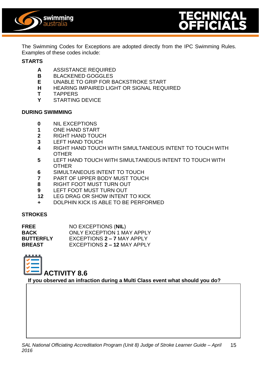



The Swimming Codes for Exceptions are adopted directly from the IPC Swimming Rules. Examples of these codes include:

#### **STARTS**

- **A** ASSISTANCE REQUIRED
- **B** BLACKENED GOGGLES
- **E** UNABLE TO GRIP FOR BACKSTROKE START
- **H** HEARING IMPAIRED LIGHT OR SIGNAL REQUIRED
- **T** TAPPERS
- **Y** STARTING DEVICE

#### **DURING SWIMMING**

- **0** NIL EXCEPTIONS
- **1** ONE HAND START
- **2** RIGHT HAND TOUCH
- **3** LEFT HAND TOUCH
- **4** RIGHT HAND TOUCH WITH SIMULTANEOUS INTENT TO TOUCH WITH **OTHER**
- **5** LEFT HAND TOUCH WITH SIMULTANEOUS INTENT TO TOUCH WITH **OTHER**
- **6** SIMULTANEOUS INTENT TO TOUCH
- **7** PART OF UPPER BODY MUST TOUCH
- **8** RIGHT FOOT MUST TURN OUT
- **9** LEFT FOOT MUST TURN OUT
- **12** LEG DRAG OR SHOW INTENT TO KICK
- **+** DOLPHIN KICK IS ABLE TO BE PERFORMED

#### **STROKES**

| <b>FREE</b>      | NO EXCEPTIONS (NIL)               |
|------------------|-----------------------------------|
| BACK             | <b>ONLY EXCEPTION 1 MAY APPLY</b> |
| <b>BUTTERFLY</b> | EXCEPTIONS 2 - 7 MAY APPLY        |
| <b>BREAST</b>    | EXCEPTIONS 2 - 12 MAY APPLY       |



# **ACTIVITY 8.6**

**If you observed an infraction during a Multi Class event what should you do?**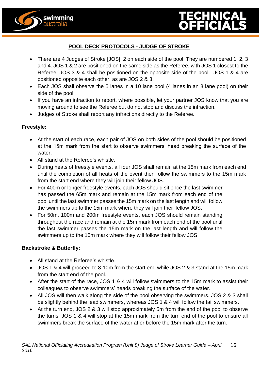



# **POOL DECK PROTOCOLS - JUDGE OF STROKE**

- There are 4 Judges of Stroke [JOS], 2 on each side of the pool. They are numbered 1, 2, 3 and 4. JOS 1 & 2 are positioned on the same side as the Referee, with JOS 1 closest to the Referee. JOS 3 & 4 shall be positioned on the opposite side of the pool. JOS 1 & 4 are positioned opposite each other, as are JOS 2 & 3.
- Each JOS shall observe the 5 lanes in a 10 lane pool (4 lanes in an 8 lane pool) on their side of the pool.
- If you have an infraction to report, where possible, let your partner JOS know that you are moving around to see the Referee but do not stop and discuss the infraction.
- Judges of Stroke shall report any infractions directly to the Referee.

#### **Freestyle:**

- At the start of each race, each pair of JOS on both sides of the pool should be positioned at the 15m mark from the start to observe swimmers' head breaking the surface of the water.
- All stand at the Referee's whistle.
- During heats of freestyle events, all four JOS shall remain at the 15m mark from each end until the completion of all heats of the event then follow the swimmers to the 15m mark from the start end where they will join their fellow JOS.
- For 400m or longer freestyle events, each JOS should sit once the last swimmer has passed the 65m mark and remain at the 15m mark from each end of the pool until the last swimmer passes the 15m mark on the last length and will follow the swimmers up to the 15m mark where they will join their fellow JOS.
- For 50m, 100m and 200m freestyle events, each JOS should remain standing throughout the race and remain at the 15m mark from each end of the pool until the last swimmer passes the 15m mark on the last length and will follow the swimmers up to the 15m mark where they will follow their fellow JOS.

#### **Backstroke & Butterfly:**

- All stand at the Referee's whistle.
- JOS 1 & 4 will proceed to 8-10m from the start end while JOS 2 & 3 stand at the 15m mark from the start end of the pool.
- After the start of the race, JOS 1 & 4 will follow swimmers to the 15m mark to assist their colleagues to observe swimmers' heads breaking the surface of the water.
- All JOS will then walk along the side of the pool observing the swimmers. JOS 2 & 3 shall be slightly behind the lead swimmers, whereas JOS 1 & 4 will follow the tail swimmers.
- At the turn end, JOS 2 & 3 will stop approximately 5m from the end of the pool to observe the turns. JOS 1 & 4 will stop at the 15m mark from the turn end of the pool to ensure all swimmers break the surface of the water at or before the 15m mark after the turn.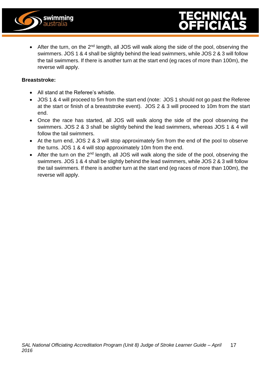

• After the turn, on the 2<sup>nd</sup> length, all JOS will walk along the side of the pool, observing the swimmers. JOS 1 & 4 shall be slightly behind the lead swimmers, while JOS 2 & 3 will follow the tail swimmers. If there is another turn at the start end (eg races of more than 100m), the reverse will apply.

#### **Breaststroke:**

- All stand at the Referee's whistle.
- JOS 1 & 4 will proceed to 5m from the start end (note: JOS 1 should not go past the Referee at the start or finish of a breaststroke event). JOS 2 & 3 will proceed to 10m from the start end.
- Once the race has started, all JOS will walk along the side of the pool observing the swimmers. JOS 2 & 3 shall be slightly behind the lead swimmers, whereas JOS 1 & 4 will follow the tail swimmers.
- At the turn end, JOS 2 & 3 will stop approximately 5m from the end of the pool to observe the turns. JOS 1 & 4 will stop approximately 10m from the end.
- After the turn on the 2<sup>nd</sup> length, all JOS will walk along the side of the pool, observing the swimmers. JOS 1 & 4 shall be slightly behind the lead swimmers, while JOS 2 & 3 will follow the tail swimmers. If there is another turn at the start end (eg races of more than 100m), the reverse will apply.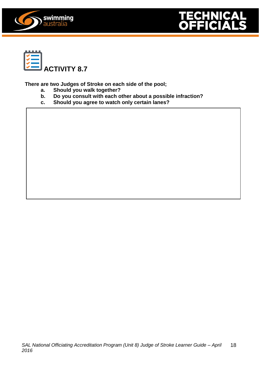





**There are two Judges of Stroke on each side of the pool;**

- **a. Should you walk together?**
- **b. Do you consult with each other about a possible infraction?**
- **c. Should you agree to watch only certain lanes?**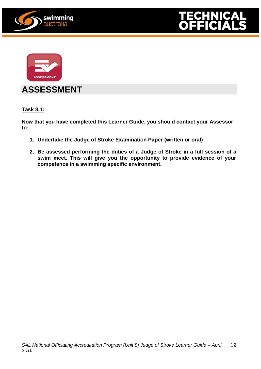





# **ASSESSMENT**

**Task 8.1:**

**Now that you have completed this Learner Guide, you should contact your Assessor to:**

- **1. Undertake the Judge of Stroke Examination Paper (written or oral)**
- **2. Be assessed performing the duties of a Judge of Stroke in a full session of a swim meet. This will give you the opportunity to provide evidence of your competence in a swimming specific environment.**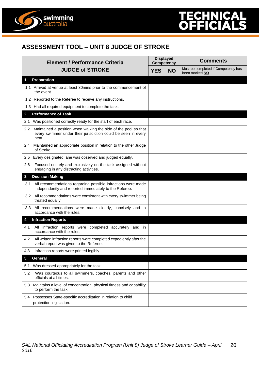



swimming<br>australia

| <b>Element / Performance Criteria</b><br><b>JUDGE of STROKE</b> |                                                                                                                                           | <b>Displayed</b><br><b>Competency</b> |           | <b>Comments</b>                                       |  |
|-----------------------------------------------------------------|-------------------------------------------------------------------------------------------------------------------------------------------|---------------------------------------|-----------|-------------------------------------------------------|--|
|                                                                 |                                                                                                                                           | <b>YES</b>                            | <b>NO</b> | Must be completed if Competency has<br>been marked NO |  |
| 1.                                                              | <b>Preparation</b>                                                                                                                        |                                       |           |                                                       |  |
|                                                                 | 1.1 Arrived at venue at least 30mins prior to the commencement of<br>the event.                                                           |                                       |           |                                                       |  |
|                                                                 | 1.2 Reported to the Referee to receive any instructions.                                                                                  |                                       |           |                                                       |  |
|                                                                 | 1.3 Had all required equipment to complete the task.                                                                                      |                                       |           |                                                       |  |
| 2.                                                              | <b>Performance of Task</b>                                                                                                                |                                       |           |                                                       |  |
| 2.1                                                             | Was positioned correctly ready for the start of each race.                                                                                |                                       |           |                                                       |  |
| $2.2^{\circ}$                                                   | Maintained a position when walking the side of the pool so that<br>every swimmer under their jurisdiction could be seen in every<br>heat. |                                       |           |                                                       |  |
| 2.4                                                             | Maintained an appropriate position in relation to the other Judge<br>of Stroke.                                                           |                                       |           |                                                       |  |
| 2.5                                                             | Every designated lane was observed and judged equally.                                                                                    |                                       |           |                                                       |  |
| 2.6                                                             | Focused entirely and exclusively on the task assigned without<br>engaging in any distracting activities.                                  |                                       |           |                                                       |  |
| 3.                                                              | <b>Decision Making</b>                                                                                                                    |                                       |           |                                                       |  |
| 3.1                                                             | All recommendations regarding possible infractions were made<br>independently and reported immediately to the Referee.                    |                                       |           |                                                       |  |
| 3.2                                                             | All recommendations were consistent with every swimmer being<br>treated equally.                                                          |                                       |           |                                                       |  |
|                                                                 | 3.3 All recommendations were made clearly, concisely and in<br>accordance with the rules.                                                 |                                       |           |                                                       |  |
| 4.                                                              | <b>Infraction Reports</b>                                                                                                                 |                                       |           |                                                       |  |
| 4.1                                                             | All infraction reports were completed accurately and in<br>accordance with the rules.                                                     |                                       |           |                                                       |  |
| 4.2                                                             | All written infraction reports were completed expediently after the<br>verbal report was given to the Referee.                            |                                       |           |                                                       |  |
| 4.3                                                             | Infraction reports were printed legibly.                                                                                                  |                                       |           |                                                       |  |
| 5.                                                              | <b>General</b>                                                                                                                            |                                       |           |                                                       |  |
| 5.1                                                             | Was dressed appropriately for the task.                                                                                                   |                                       |           |                                                       |  |
| 5.2                                                             | Was courteous to all swimmers, coaches, parents and other<br>officials at all times.                                                      |                                       |           |                                                       |  |
| 5.3                                                             | Maintains a level of concentration, physical fitness and capability<br>to perform the task.                                               |                                       |           |                                                       |  |
|                                                                 | 5.4 Possesses State-specific accreditation in relation to child<br>protection legislation.                                                |                                       |           |                                                       |  |